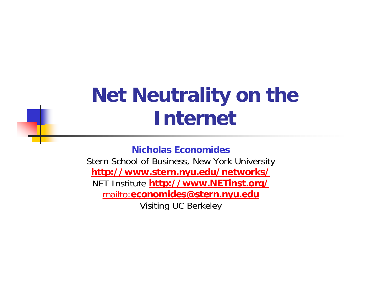#### **Net Neutrality on the Internet**

**Nicholas Economides**

Stern School of Business, New York University **http://www.stern.nyu.edu/networks/** NET Institute **http://www.NETinst.org/** mailto:**economides@stern.nyu.edu** Visiting UC Berkeley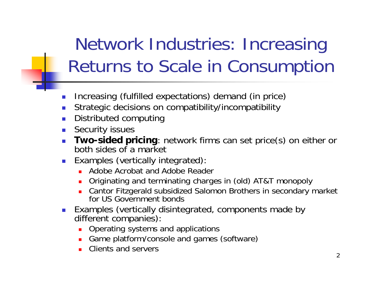#### Network Industries: Increasing Returns to Scale in Consumption

- $\mathcal{C}^{\mathcal{A}}$ Increasing (fulfilled expectations) demand (in price)
- П Strategic decisions on compatibility/incompatibility
- П Distributed computing
- П Security issues
- П **Two-sided pricing**: network firms can set price(s) on either or both sides of a market
- **Examples (vertically integrated):** 
	- **Adobe Acrobat and Adobe Reader**
	- $\blacksquare$ Originating and terminating charges in (old) AT&T monopoly
	- $\blacksquare$  Cantor Fitzgerald subsidized Salomon Brothers in secondary market for US Government bonds
- Examples (vertically disintegrated, components made by different companies):
	- $\blacksquare$ Operating systems and applications
	- П Game platform/console and games (software)
	- $\blacksquare$ Clients and servers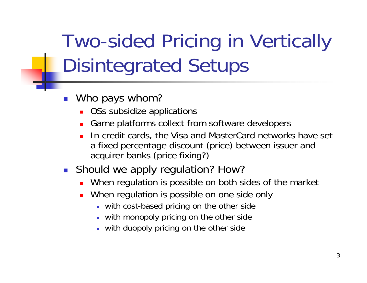Two-sided Pricing in Vertically Disintegrated Setups

- $\overline{\phantom{a}}$  Who pays whom?
	- П OSs subsidize applications
	- П Game platforms collect from software developers
	- ▉ In credit cards, the Visa and MasterCard networks have set a fixed percentage discount (price) between issuer and acquirer banks (price fixing?)
- **Should we apply regulation? How?** 
	- ▉ When regulation is possible on both sides of the market
	- П When regulation is possible on one side only
		- **With cost-based pricing on the other side**
		- with monopoly pricing on the other side
		- with duopoly pricing on the other side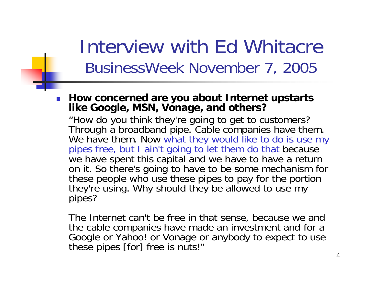#### Interview with Ed Whitacre BusinessWeek November 7, 2005

× **How concerned are you about Internet upstarts like Google, MSN, Vonage, and others?**

"How do you think they're going to get to customers? Through a broadband pipe. Cable companies have them. We have them. Now what they would like to do is use my pipes free, but I ain't going to let them do that because we have spent this capital and we have to have a return on it. So there's going to have to be some mechanism for these people who use these pipes to pay for the portion they're using. Why should they be allowed to use my pipes?

The Internet can't be free in that sense, because we and the cable companies have made an investment and for a Google or Yahoo! or Vonage or anybody to expect to use these pipes [for] free is nuts!"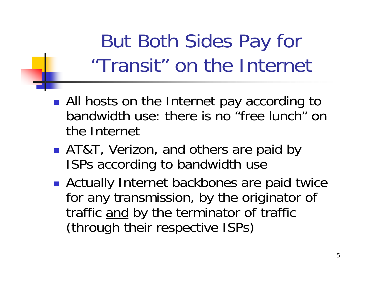But Both Sides Pay for "Transit" on the Internet

- $\Box$ **All hosts on the Internet pay according to** bandwidth use: there is no "free lunch" on the Internet
- $\Box$ ■ AT&T, Verizon, and others are paid by ISPs according to bandwidth use
- $\Box$ **Actually Internet backbones are paid twice** for any transmission, by the originator of traffic <u>and</u> by the terminator of traffic (through their respective ISPs)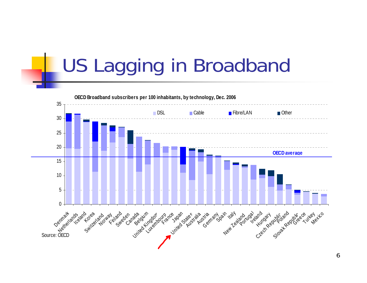## US Lagging in Broadband

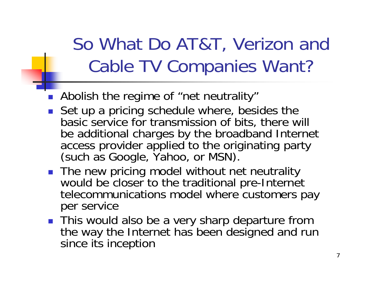#### So What Do AT&T, Verizon and Cable TV Companies Want?

- $\mathbb{R}^3$ Abolish the regime of "net neutrality"
- b. Set up a pricing schedule where, besides the basic service for transmission of bits, there will be additional charges by the broadband Internet access provider applied to the originating party (such as Google, Yahoo, or MSN).
- The new pricing model without net neutrality would be closer to the traditional pre-Internet telecommunications model where customers pay per service
- **This would also be a very sharp departure from** the way the Internet has been designed and run since its inception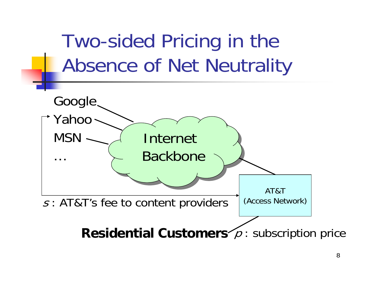

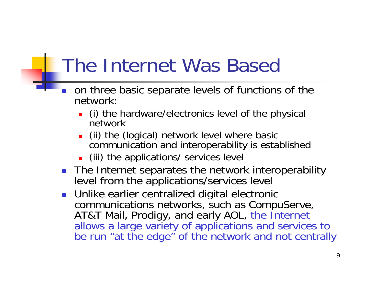## The Internet Was Based

- П on three basic separate levels of functions of the network:
	- **.** (i) the hardware/electronics level of the physical network
	- П (ii) the (logical) network level where basic communication and interoperability is established
	- **.** (iii) the applications/ services level
- П The Internet separates the network interoperability<br>level from the applications/services level
- **Dimimate Dimimilier Centralized digital electronic** communications networks, such as CompuServe, AT&T Mail, Prodigy, and early AOL, the Internet allows a large variety of applications and services to be run "at the edge" of the network and not centrally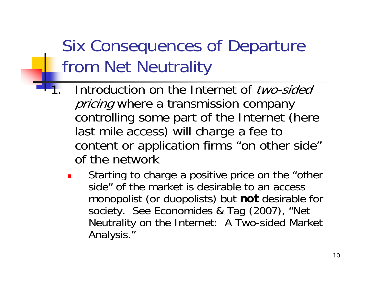- Introduction on the Internet of two-sided pricing where a transmission company controlling some part of the Internet (here last mile access) will charge a fee to content or application firms "on other side" of the network
	- × Starting to charge a positive price on the "other side" of the market is desirable to an access monopolist (or duopolists) but **not** desirable for society. See Economides & Tag (2007), "Net Neutrality on the Internet: A Two-sided Market Analysis."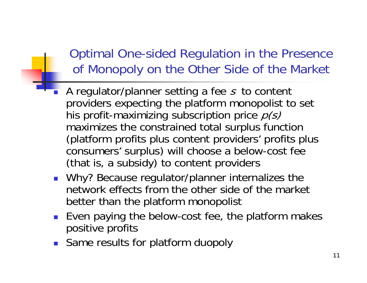#### Optimal One-sided Regulation in the Presence of Monopoly on the Other Side of the Market

- **A** regulator/planner setting a fee s to content providers expecting the platform monopolist to set his profit-maximizing subscription price  $p(s)$ maximizes the constrained total surplus function (platform profits plus content providers' profits plus consumers' surplus) will choose a below-cost fee (that is, a subsidy) to content providers
- **Nhy?** Because regulator/planner internalizes the network effects from the other side of the market better than the platform monopolist
- Even paying the below-cost fee, the platform makes positive profits
- **Same results for platform duopoly**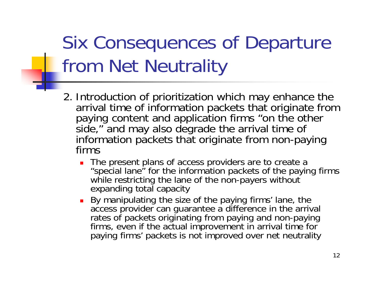- 2. Introduction of prioritization which may enhance the arrival time of information packets that originate from paying content and application firms "on the other side," and may also degrade the arrival time of information packets that originate from non-paying firms
	- ▉ The present plans of access providers are to create a "special lane" for the information packets of the paying firms while restricting the lane of the non-payers without expanding total capacity
	- u By manipulating the size of the paying firms' lane, the access provider can guarantee a difference in the arrival rates of packets originating from paying and non-paying firms, even if the actual improvement in arrival time for paying firms' packets is not improved over net neutrality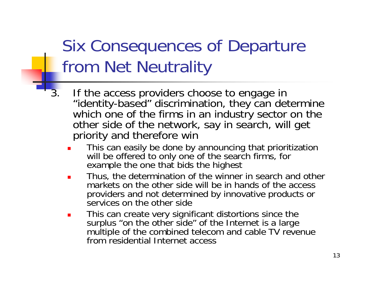- If the access providers choose to engage in "identity-based" discrimination, they can determine which one of the firms in an industry sector on the other side of the network, say in search, will get priority and therefore win
	- L. This can easily be done by announcing that prioritization will be offered to only one of the search firms, for example the one that bids the highest
	- П Thus, the determination of the winner in search and other markets on the other side will be in hands of the access providers and not determined by innovative products or services on the other side
	- П This can create very significant distortions since the surplus "on the other side" of the Internet is a large multiple of the combined telecom and cable TV revenue from residential Internet access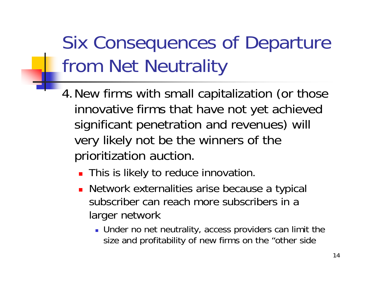- 4.New firms with small capitalization (or those innovative firms that have not yet achieved significant penetration and revenues) will very likely not be the winners of the prioritization auction.
	- **This is likely to reduce innovation.**
	- **Network externalities arise because a typical** subscriber can reach more subscribers in a larger network
		- Under no net neutrality, access providers can limit the size and profitability of new firms on the "other side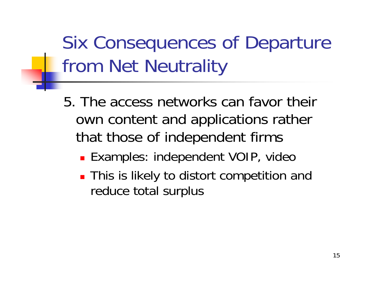- 5. The access networks can favor their own content and applications rather that those of independent firms
	- **Examples: independent VOIP, video**
	- **This is likely to distort competition and** reduce total surplus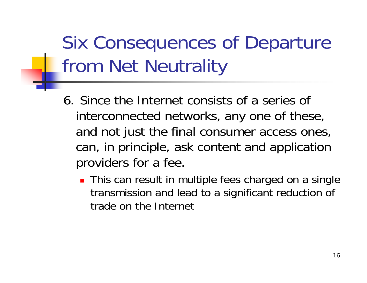- 6. Since the Internet consists of a series of interconnected networks, any one of these, and not just the final consumer access ones, can, in principle, ask content and application providers for a fee.
	- **This can result in multiple fees charged on a single** transmission and lead to a significant reduction of trade on the Internet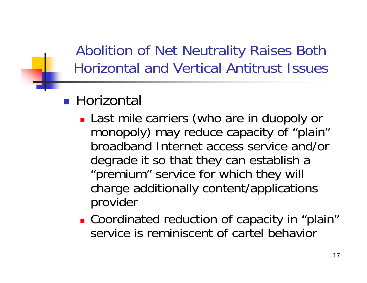Abolition of Net Neutrality Raises Both Horizontal and Vertical Antitrust Issues

#### ■ Horizontal

- **Last mile carriers (who are in duopoly or** monopoly) may reduce capacity of "plain" broadband Internet access service and/or degrade it so that they can establish a "premium" service for which they will charge additionally content/applications provider
- Coordinated reduction of capacity in "plain" service is reminiscent of cartel behavior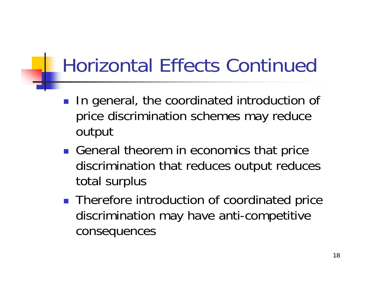## Horizontal Effects Continued

- **In general, the coordinated introduction of** price discrimination schemes may reduce output
- General theorem in economics that price discrimination that reduces output reduces total surplus
- **Therefore introduction of coordinated price** discrimination may have anti-competitive consequences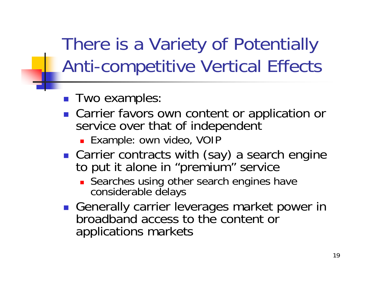There is a Variety of Potentially Anti-competitive Vertical Effects

- **Two examples:**
- **Carrier favors own content or application or** service over that of independent
	- Example: own video, VOIP
- **Carrier contracts with (say) a search engine** to put it alone in "premium" service
	- **Searches using other search engines have** considerable delays
- **Generally carrier leverages market power in** broadband access to the content or applications markets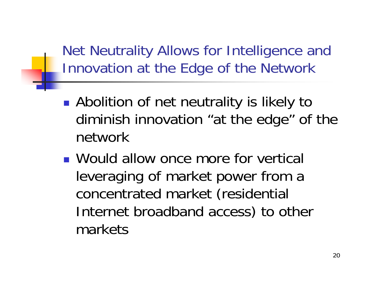Net Neutrality Allows for Intelligence and Innovation at the Edge of the Network

- $\mathbb{R}^3$ **Abolition of net neutrality is likely to** diminish innovation "at the edge" of the network
- **Nould allow once more for vertical** leveraging of market power from a concentrated market (residential Internet broadband access) to other markets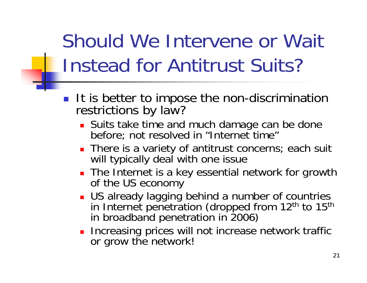# Should We Intervene or Wait Instead for Antitrust Suits?

- **If is better to impose the non-discrimination** restrictions by law?
	- **Suits take time and much damage can be done** before; not resolved in "Internet time"
	- **There is a variety of antitrust concerns**; each suit will typically deal with one issue
	- **The Internet is a key essential network for growth** of the US economy
	- **US** already lagging behind a number of countries in Internet penetration (dropped from 12<sup>th</sup> to 15<sup>th</sup> in broadband penetration in 2006)
	- **Increasing prices will not increase network traffic** or grow the network!